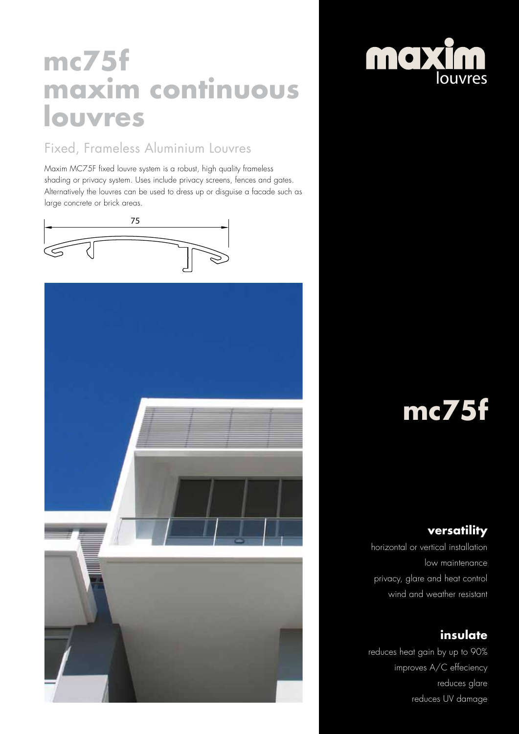## **mc75f maxim continuous louvres**

#### Fixed, Frameless Aluminium Louvres

Maxim MC75F fixed louvre system is a robust, high quality frameless shading or privacy system. Uses include privacy screens, fences and gates. Alternatively the louvres can be used to dress up or disguise a facade such as large concrete or brick areas.







# **mc75f**

#### **versatility**

horizontal or vertical installation low maintenance privacy, glare and heat control wind and weather resistant

### **insulate**

reduces heat gain by up to 90% improves A/C effeciency reduces glare reduces UV damage